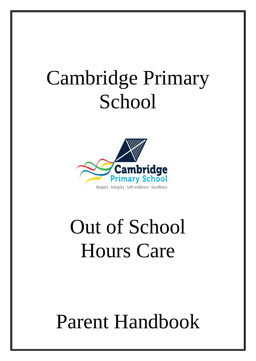# Cambridge Primary **School**



# Out of School Hours Care

# Parent Handbook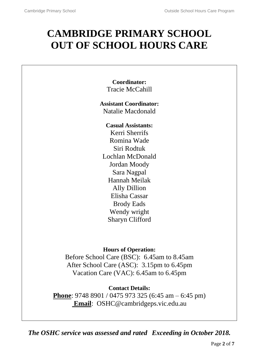# **CAMBRIDGE PRIMARY SCHOOL OUT OF SCHOOL HOURS CARE**

**Coordinator:** Tracie McCahill

**Assistant Coordinator:** Natalie Macdonald

**Casual Assistants:**

Kerri Sherrifs Romina Wade Siri Rodtuk Lochlan McDonald Jordan Moody Sara Nagpal Hannah Meilak Ally Dillion Elisha Cassar Brody Eads Wendy wright Sharyn Clifford

## **Hours of Operation:**

Before School Care (BSC): 6.45am to 8.45am After School Care (ASC): 3.15pm to 6.45pm Vacation Care (VAC): 6.45am to 6.45pm

## **Contact Details:**

**Phone**: 9748 8901 / 0475 973 325 (6:45 am – 6:45 pm) **Email**: OSHC@cambridgeps.vic.edu.au

*The OSHC service was assessed and rated Exceeding in October 2018.*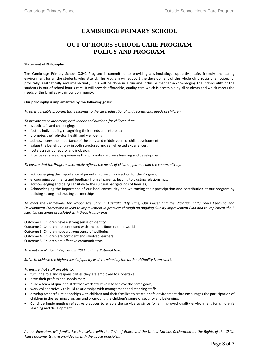### **CAMBRIDGE PRIMARY SCHOOL**

### **OUT OF HOURS SCHOOL CARE PROGRAM POLICY AND PROGRAM**

#### **Statement of Philosophy**

The Cambridge Primary School OSHC Program is committed to providing a stimulating, supportive, safe, friendly and caring environment for all the students who attend. The Program will support the development of the whole child socially, emotionally, physically, aesthetically and intellectually. This will be done in a fun and inclusive manner acknowledging the individuality of the students in out of school hour's care. It will provide affordable, quality care which is accessible by all students and which meets the needs of the families within our community.

#### **Our philosophy is implemented by the following goals:**

*To offer a flexible program that responds to the care, educational and recreational needs of children.*

*To provide an environment, both indoor and outdoor, for children that:*

- is both safe and challenging;
- fosters individuality, recognizing their needs and interests;
- promotes their physical health and well-being;
- acknowledges the importance of the early and middle years of child development;
- values the benefit of play in both structured and self-directed experiences;
- fosters a spirit of equity and inclusion;
- Provides a range of experiences that promote children's learning and development.

*To ensure that the Program accurately reflects the needs of children, parents and the community by:*

- acknowledging the importance of parents in providing direction for the Program;
- encouraging comments and feedback from all parents, leading to trusting relationships;
- acknowledging and being sensitive to the cultural backgrounds of families;
- Acknowledging the importance of our local community and welcoming their participation and contribution at our program by building strong and trusting partnerships.

*To meet the Framework for School Age Care in Australia (My Time, Our Place) and the Victorian Early Years Learning and Development Framework to lead to improvement in practices through an ongoing Quality Improvement Plan and to implement the 5 learning outcomes associated with these frameworks.*

Outcome 1. Children have a strong sense of identity.

Outcome 2. Children are connected with and contribute to their world.

Outcome 3. Children have a strong sense of wellbeing.

Outcome 4. Children are confident and involved learners.

Outcome 5. Children are effective communicators.

*To meet the National Regulations 2011 and the National Law.*

*Strive to achieve the highest level of quality as determined by the National Quality Framework.*

*To ensure that staff are able to:*

- fulfill the role and responsibilities they are employed to undertake;
- have their professional needs met;
- build a team of qualified staff that work effectively to achieve the same goals;
- work collaboratively to build relationships with management and teaching staff;
- develop respectful relationships with children and their families to create a safe environment that encourages the participation of children in the learning program and promoting the children's sense of security and belonging;
- Continue implementing reflective practices to enable the service to strive for an improved quality environment for children's learning and development.

*All our Educators will familiarize themselves with the Code of Ethics and the United Nations Declaration on the Rights of the Child. These documents have provided us with the above principles.*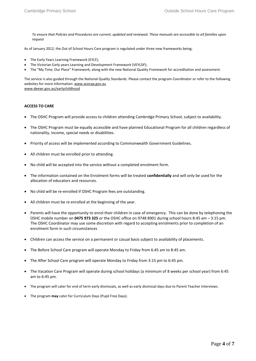*To ensure that Policies and Procedures are current, updated and reviewed. These manuals are accessible to all families upon request*

As of January 2012, the Out of School Hours Care program is regulated under three new frameworks being;

- The Early Years Learning Framework (EYLF);
- The Victorian Early years Learning and Development Framework (VEYLDF);
- The "My Time, Our Place" Framework, along with the new National Quality Framework for accreditation and assessment.

The service is also guided through the National Quality Standards. Please contact the program Coordinator or refer to the following websites for more information: [www.acecqa.gov.au](http://www.acecqa.gov.au/) [www.deewr.gov.au/earlychildhood](http://www.deewr.gov.au/earlychildhood)

#### **ACCESS TO CARE**

- The OSHC Program will provide access to children attending Cambridge Primary School, subject to availability.
- The OSHC Program must be equally accessible and have planned Educational Program for all children regardless of nationality, income, special needs or disabilities.
- Priority of access will be implemented according to Commonwealth Government Guidelines.
- All children must be enrolled prior to attending.
- No child will be accepted into the service without a completed enrolment form.
- The information contained on the Enrolment forms will be treated **confidentially** and will only be used for the allocation of educators and resources.
- No child will be re-enrolled if OSHC Program fees are outstanding.
- All children must be re enrolled at the beginning of the year.
- Parents will have the opportunity to enrol their children in case of emergency. This can be done by telephoning the OSHC mobile number on **0475 973 325** or the OSHC office on 9748 8901 during school hours 8:45 am – 3:15 pm. The OSHC Coordinator may use some discretion with regard to accepting enrolments prior to completion of an enrolment form in such circumstances
- Children can access the service on a permanent or casual basis subject to availability of placements.
- The Before School Care program will operate Monday to Friday from 6:45 am to 8:45 am.
- The After School Care program will operate Monday to Friday from 3:15 pm to 6:45 pm.
- The Vacation Care Program will operate during school holidays (a minimum of 8 weeks per school year) from 6:45 am to 6:45 pm.
- The program will cater for end of term early dismissals, as well as early dismissal days due to Parent Teacher Interviews.
- The program **may** cater for Curriculum Days (Pupil Free Days).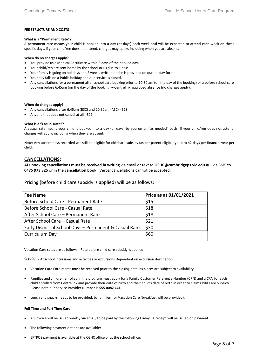#### **FEE STRUCTURE AND COSTS**

#### **What is a "Permanent Rate"?**

A permanent rate means your child is booked into a day (or days) each week and will be expected to attend each week on these specific days. If your child/ren does not attend, charges may apply, including when you are absent.

#### **When do no charges apply?**

- You provide us a Medical Certificate within 5 days of the booked day.
- Your child/ren are sent home by the school or us due to illness.
- Your family is going on holidays and 2 weeks written notice is provided on our holiday form.
- Your day falls on a Public holiday and our service is closed.
- Any cancellations for a permanent after school care booking prior to 10:30 am (on the day of the booking) or a before school care booking before 6.45am (on the day of the booking) – Centrelink approved absence (no charges apply).

#### **When do charges apply?**

- Any cancellations after 6.45am (BSC) and 10:30am (ASC) \$18
- Anyone that does not cancel at all \$21

#### **What is a "Casual Rate"?**

A casual rate means your child is booked into a day (or days) by you on an "as needed" basis. If your child/ren does not attend, charges will apply, including when they are absent.

Note: Any absent days recorded will still be eligible for childcare subsidy (as per parent eligibility) up to 42 days per financial year per child.

#### **CANCELLATIONS:**

**ALL booking cancellations must be received in writing** via email or text to **OSHC@cambridgeps.vic.edu.au**, via SMS to **0475 973 325** or in the **cancellation book**. Verbal cancellations cannot be accepted.

Pricing (before child care subsidy is applied) will be as follows:

| <b>Fee Name</b>                                       | Price as at 01/01/2021 |
|-------------------------------------------------------|------------------------|
| Before School Care - Permanent Rate                   | \$15                   |
| Before School Care - Casual Rate                      | \$18                   |
| After School Care – Permanent Rate                    | \$18                   |
| After School Care - Casual Rate                       | \$21                   |
| Early Dismissal School Days - Permanent & Casual Rate | \$30                   |
| Curriculum Day                                        | \$60                   |

Vacation Care rates are as follows:- Rate before child care subsidy is applied

\$60-\$85 - At school incursions and activities or excursions Dependant on excursion destination

- Vacation Care Enrolments must be received prior to the closing date, as places are subject to availability.
- Families and children enrolled in the program must apply for a Family Customer Reference Number (CRN) and a CRN for each child enrolled from Centrelink and provide their date of birth and their child's date of birth in order to claim Child Care Subsidy. Please note our Service Provider Number is **555 0082 44J**.
- Lunch and snacks needs to be provided, by families, for Vacation Care (breakfast will be provided).

#### **Full Time and Part Time Care**

- An invoice will be issued weekly via email, to be paid by the following Friday. A receipt will be issued on payment.
- The following payment options are available:-
- EFTPOS payment is available at the OSHC office or at the school office.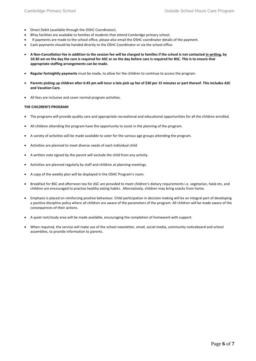- Direct Debit (available through the OSHC Coordinator).
- BPay facilities are available to families of students that attend Cambridge primary school.
- If payments are made to the school office, please also email the OSHC coordinator details of the payment.
- Cash payments should be handed directly to the OSHC Coordinator or via the school office.
- **A Non-Cancellation fee in addition to the session fee will be charged to families if the school is not contacted in writing, by 10:30 am on the day the care is required for ASC or on the day before care is required for BSC. This is to ensure that appropriate staffing arrangements can be made.**
- **Regular fortnightly payments** must be made, to allow for the children to continue to access the program.
- **Parents picking up children after 6:45 pm will incur a late pick up fee of \$30 per 15 minutes or part thereof. This includes ASC and Vacation Care.**
- All fees are inclusive and cover normal program activities.

#### **THE CHILDREN'S PROGRAM**

- The programs will provide quality care and appropriate recreational and educational opportunities for all the children enrolled.
- All children attending the program have the opportunity to assist in the planning of the program.
- A variety of activities will be made available to cater for the various age groups attending the program.
- Activities are planned to meet diverse needs of each individual child
- A written note signed by the parent will exclude the child from any activity.
- Activities are planned regularly by staff and children at planning meetings.
- A copy of the weekly plan will be displayed in the OSHC Program's room.
- Breakfast for BSC and afternoon tea for ASC are provided to meet children's dietary requirements i.e. vegetarian, halal etc, and children are encouraged to practise healthy eating habits. Alternatively, children may bring snacks from home.
- Emphasis is placed on reinforcing positive behaviour. Child participation in decision making will be an integral part of developing a positive discipline policy where all children are aware of the parameters of the program. All children will be made aware of the consequences of their actions.
- A quiet rest/study area will be made available, encouraging the completion of homework with support.
- When required, the service will make use of the school newsletter, email, social media, community noticeboard and school assemblies, to provide information to parents.